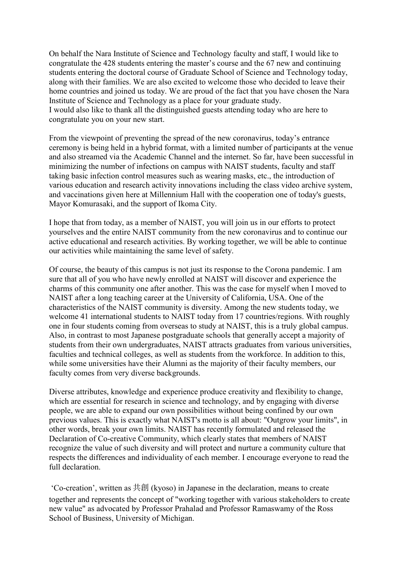On behalf the Nara Institute of Science and Technology faculty and staff, I would like to congratulate the 428 students entering the master's course and the 67 new and continuing students entering the doctoral course of Graduate School of Science and Technology today, along with their families. We are also excited to welcome those who decided to leave their home countries and joined us today. We are proud of the fact that you have chosen the Nara Institute of Science and Technology as a place for your graduate study. I would also like to thank all the distinguished guests attending today who are here to congratulate you on your new start.

From the viewpoint of preventing the spread of the new coronavirus, today's entrance ceremony is being held in a hybrid format, with a limited number of participants at the venue and also streamed via the Academic Channel and the internet. So far, have been successful in minimizing the number of infections on campus with NAIST students, faculty and staff taking basic infection control measures such as wearing masks, etc., the introduction of various education and research activity innovations including the class video archive system, and vaccinations given here at Millennium Hall with the cooperation one of today's guests, Mayor Komurasaki, and the support of Ikoma City.

I hope that from today, as a member of NAIST, you will join us in our efforts to protect yourselves and the entire NAIST community from the new coronavirus and to continue our active educational and research activities. By working together, we will be able to continue our activities while maintaining the same level of safety.

Of course, the beauty of this campus is not just its response to the Corona pandemic. I am sure that all of you who have newly enrolled at NAIST will discover and experience the charms of this community one after another. This was the case for myself when I moved to NAIST after a long teaching career at the University of California, USA. One of the characteristics of the NAIST community is diversity. Among the new students today, we welcome 41 international students to NAIST today from 17 countries/regions. With roughly one in four students coming from overseas to study at NAIST, this is a truly global campus. Also, in contrast to most Japanese postgraduate schools that generally accept a majority of students from their own undergraduates, NAIST attracts graduates from various universities, faculties and technical colleges, as well as students from the workforce. In addition to this, while some universities have their Alumni as the majority of their faculty members, our faculty comes from very diverse backgrounds.

Diverse attributes, knowledge and experience produce creativity and flexibility to change, which are essential for research in science and technology, and by engaging with diverse people, we are able to expand our own possibilities without being confined by our own previous values. This is exactly what NAIST's motto is all about: "Outgrow your limits", in other words, break your own limits. NAIST has recently formulated and released the Declaration of Co-creative Community, which clearly states that members of NAIST recognize the value of such diversity and will protect and nurture a community culture that respects the differences and individuality of each member. I encourage everyone to read the full declaration.

'Co-creation', written as 共創 (kyoso) in Japanese in the declaration, means to create together and represents the concept of "working together with various stakeholders to create new value" as advocated by Professor Prahalad and Professor Ramaswamy of the Ross School of Business, University of Michigan.